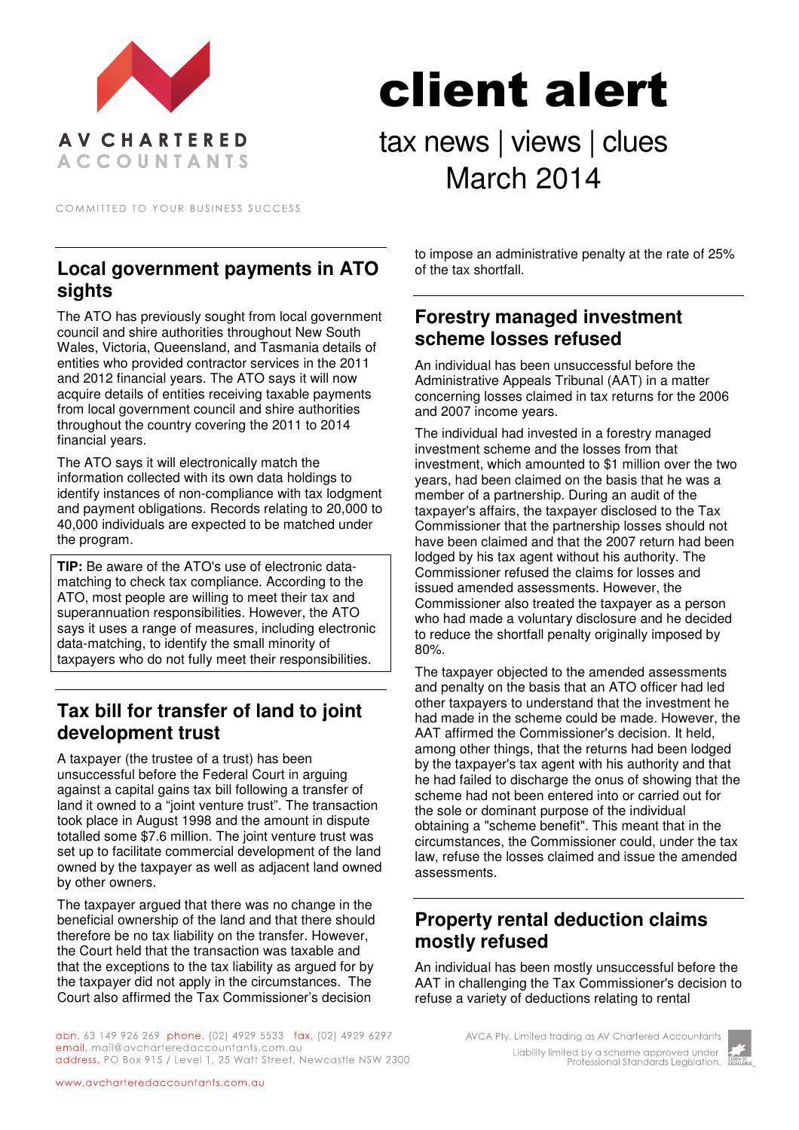

# client alert

tax news | views | clues March 2014

COMMITTED TO YOUR BUSINESS SUCCESS

### **Local government payments in ATO sights**

The ATO has previously sought from local government council and shire authorities throughout New South Wales, Victoria, Queensland, and Tasmania details of entities who provided contractor services in the 2011 and 2012 financial years. The ATO says it will now acquire details of entities receiving taxable payments from local government council and shire authorities throughout the country covering the 2011 to 2014 financial years.

The ATO says it will electronically match the information collected with its own data holdings to identify instances of non-compliance with tax lodgment and payment obligations. Records relating to 20,000 to 40,000 individuals are expected to be matched under the program.

**TIP:** Be aware of the ATO's use of electronic datamatching to check tax compliance. According to the ATO, most people are willing to meet their tax and superannuation responsibilities. However, the ATO says it uses a range of measures, including electronic data-matching, to identify the small minority of taxpayers who do not fully meet their responsibilities.

# **Tax bill for transfer of land to joint development trust**

A taxpayer (the trustee of a trust) has been unsuccessful before the Federal Court in arguing against a capital gains tax bill following a transfer of land it owned to a "joint venture trust". The transaction took place in August 1998 and the amount in dispute totalled some \$7.6 million. The joint venture trust was set up to facilitate commercial development of the land owned by the taxpayer as well as adjacent land owned by other owners.

The taxpayer argued that there was no change in the beneficial ownership of the land and that there should therefore be no tax liability on the transfer. However, the Court held that the transaction was taxable and that the exceptions to the tax liability as argued for by the taxpayer did not apply in the circumstances. The Court also affirmed the Tax Commissioner's decision

to impose an administrative penalty at the rate of 25% of the tax shortfall.

#### **Forestry managed investment scheme losses refused**

An individual has been unsuccessful before the Administrative Appeals Tribunal (AAT) in a matter concerning losses claimed in tax returns for the 2006 and 2007 income years.

The individual had invested in a forestry managed investment scheme and the losses from that investment, which amounted to \$1 million over the two years, had been claimed on the basis that he was a member of a partnership. During an audit of the taxpayer's affairs, the taxpayer disclosed to the Tax Commissioner that the partnership losses should not have been claimed and that the 2007 return had been lodged by his tax agent without his authority. The Commissioner refused the claims for losses and issued amended assessments. However, the Commissioner also treated the taxpayer as a person who had made a voluntary disclosure and he decided to reduce the shortfall penalty originally imposed by 80%.

The taxpayer objected to the amended assessments and penalty on the basis that an ATO officer had led other taxpayers to understand that the investment he had made in the scheme could be made. However, the AAT affirmed the Commissioner's decision. It held, among other things, that the returns had been lodged by the taxpayer's tax agent with his authority and that he had failed to discharge the onus of showing that the scheme had not been entered into or carried out for the sole or dominant purpose of the individual obtaining a "scheme benefit". This meant that in the circumstances, the Commissioner could, under the tax law, refuse the losses claimed and issue the amended assessments.

# **Property rental deduction claims mostly refused**

An individual has been mostly unsuccessful before the AAT in challenging the Tax Commissioner's decision to refuse a variety of deductions relating to rental

abn. 63 149 926 269 phone. (02) 4929 5533 fax. (02) 4929 6297 email. mail@avcharteredaccountants.com.au address. PO Box 915 / Level 1, 25 Watt Street, Newcastle NSW 2300

AVCA Pty. Limited trading as AV Chartered Accountants Liability limited by a scheme approved under Professional Standards Legislation.